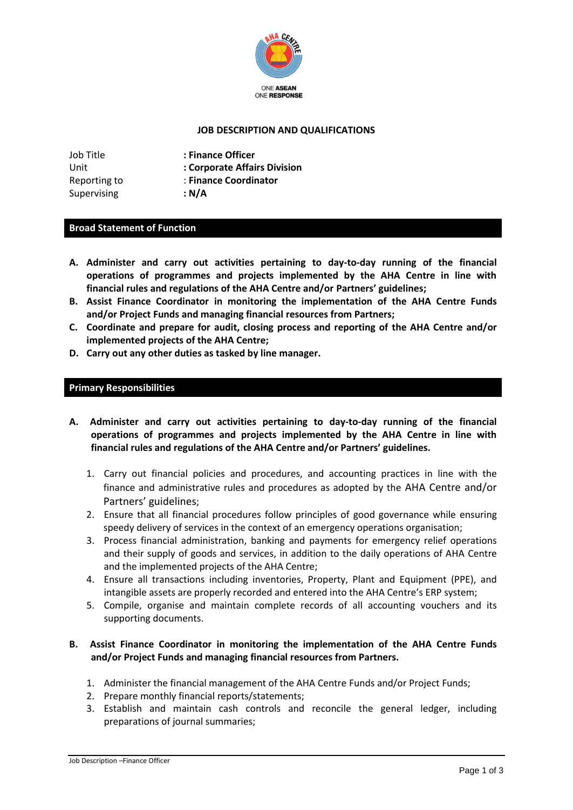

## **JOB DESCRIPTION AND QUALIFICATIONS**

| Job Title    | : Finance Officer            |
|--------------|------------------------------|
| Unit         | : Corporate Affairs Division |
| Reporting to | : Finance Coordinator        |
| Supervising  | : N/A                        |

### **Broad Statement of Function**

- **A. Administer and carry out activities pertaining to day-to-day running of the financial operations of programmes and projects implemented by the AHA Centre in line with financial rules and regulations of the AHA Centre and/or Partners' guidelines;**
- **B. Assist Finance Coordinator in monitoring the implementation of the AHA Centre Funds and/or Project Funds and managing financial resources from Partners;**
- **C. Coordinate and prepare for audit, closing process and reporting of the AHA Centre and/or implemented projects of the AHA Centre;**
- **D. Carry out any other duties as tasked by line manager.**

### **Primary Responsibilities**

- **A. Administer and carry out activities pertaining to day-to-day running of the financial operations of programmes and projects implemented by the AHA Centre in line with financial rules and regulations of the AHA Centre and/or Partners' guidelines.**
	- 1. Carry out financial policies and procedures, and accounting practices in line with the finance and administrative rules and procedures as adopted by the AHA Centre and/or Partners' guidelines;
	- 2. Ensure that all financial procedures follow principles of good governance while ensuring speedy delivery of services in the context of an emergency operations organisation;
	- 3. Process financial administration, banking and payments for emergency relief operations and their supply of goods and services, in addition to the daily operations of AHA Centre and the implemented projects of the AHA Centre;
	- 4. Ensure all transactions including inventories, Property, Plant and Equipment (PPE), and intangible assets are properly recorded and entered into the AHA Centre's ERP system;
	- 5. Compile, organise and maintain complete records of all accounting vouchers and its supporting documents.

## **B. Assist Finance Coordinator in monitoring the implementation of the AHA Centre Funds and/or Project Funds and managing financial resources from Partners.**

- 1. Administer the financial management of the AHA Centre Funds and/or Project Funds;
- 2. Prepare monthly financial reports/statements;
- 3. Establish and maintain cash controls and reconcile the general ledger, including preparations of journal summaries;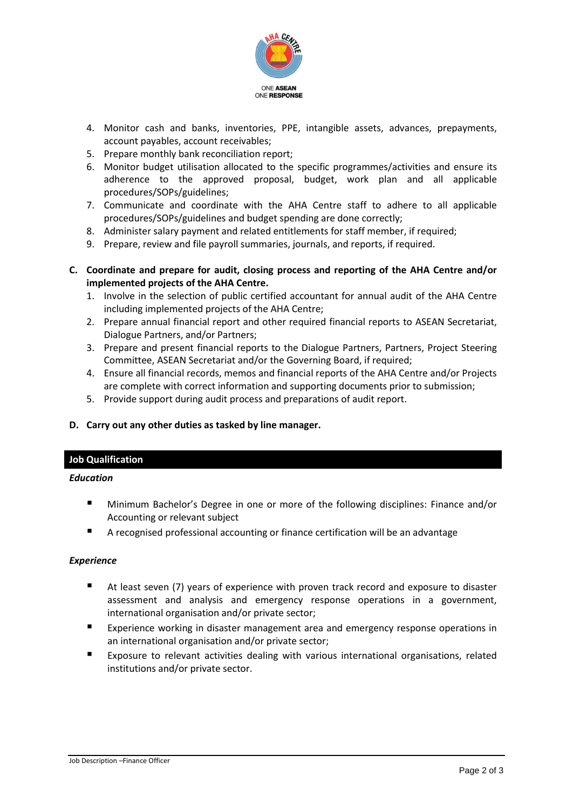

- 4. Monitor cash and banks, inventories, PPE, intangible assets, advances, prepayments, account payables, account receivables;
- 5. Prepare monthly bank reconciliation report;
- 6. Monitor budget utilisation allocated to the specific programmes/activities and ensure its adherence to the approved proposal, budget, work plan and all applicable procedures/SOPs/guidelines;
- 7. Communicate and coordinate with the AHA Centre staff to adhere to all applicable procedures/SOPs/guidelines and budget spending are done correctly;
- 8. Administer salary payment and related entitlements for staff member, if required;
- 9. Prepare, review and file payroll summaries, journals, and reports, if required.
- **C. Coordinate and prepare for audit, closing process and reporting of the AHA Centre and/or implemented projects of the AHA Centre.**
	- 1. Involve in the selection of public certified accountant for annual audit of the AHA Centre including implemented projects of the AHA Centre;
	- 2. Prepare annual financial report and other required financial reports to ASEAN Secretariat, Dialogue Partners, and/or Partners;
	- 3. Prepare and present financial reports to the Dialogue Partners, Partners, Project Steering Committee, ASEAN Secretariat and/or the Governing Board, if required;
	- 4. Ensure all financial records, memos and financial reports of the AHA Centre and/or Projects are complete with correct information and supporting documents prior to submission;
	- 5. Provide support during audit process and preparations of audit report.

## **D. Carry out any other duties as tasked by line manager.**

## **Job Qualification**

#### *Education*

- Minimum Bachelor's Degree in one or more of the following disciplines: Finance and/or Accounting or relevant subject
- A recognised professional accounting or finance certification will be an advantage

#### *Experience*

- At least seven (7) years of experience with proven track record and exposure to disaster assessment and analysis and emergency response operations in a government, international organisation and/or private sector;
- Experience working in disaster management area and emergency response operations in an international organisation and/or private sector;
- Exposure to relevant activities dealing with various international organisations, related institutions and/or private sector.